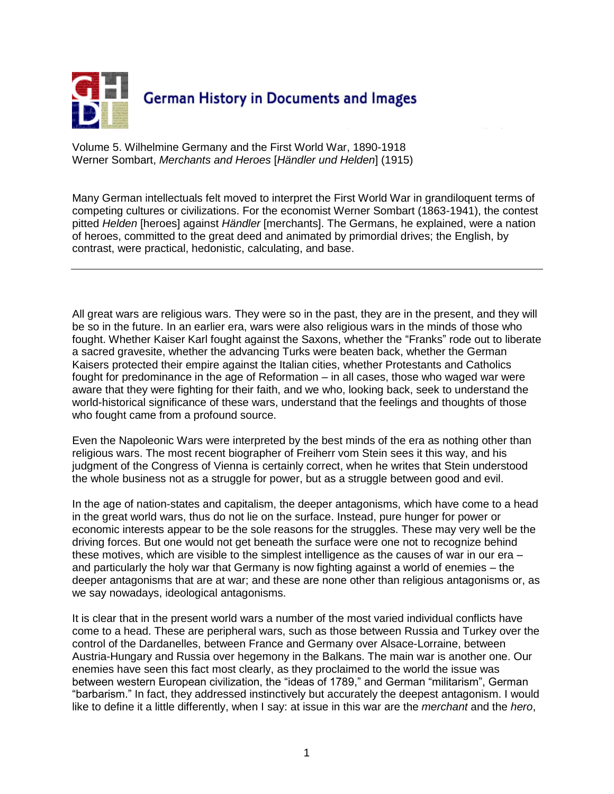

Volume 5. Wilhelmine Germany and the First World War, 1890-1918 Werner Sombart, *Merchants and Heroes* [*Händler und Helden*] (1915)

Many German intellectuals felt moved to interpret the First World War in grandiloquent terms of competing cultures or civilizations. For the economist Werner Sombart (1863-1941), the contest pitted *Helden* [heroes] against *Händler* [merchants]. The Germans, he explained, were a nation of heroes, committed to the great deed and animated by primordial drives; the English, by contrast, were practical, hedonistic, calculating, and base.

All great wars are religious wars. They were so in the past, they are in the present, and they will be so in the future. In an earlier era, wars were also religious wars in the minds of those who fought. Whether Kaiser Karl fought against the Saxons, whether the "Franks" rode out to liberate a sacred gravesite, whether the advancing Turks were beaten back, whether the German Kaisers protected their empire against the Italian cities, whether Protestants and Catholics fought for predominance in the age of Reformation – in all cases, those who waged war were aware that they were fighting for their faith, and we who, looking back, seek to understand the world-historical significance of these wars, understand that the feelings and thoughts of those who fought came from a profound source.

Even the Napoleonic Wars were interpreted by the best minds of the era as nothing other than religious wars. The most recent biographer of Freiherr vom Stein sees it this way, and his judgment of the Congress of Vienna is certainly correct, when he writes that Stein understood the whole business not as a struggle for power, but as a struggle between good and evil.

In the age of nation-states and capitalism, the deeper antagonisms, which have come to a head in the great world wars, thus do not lie on the surface. Instead, pure hunger for power or economic interests appear to be the sole reasons for the struggles. These may very well be the driving forces. But one would not get beneath the surface were one not to recognize behind these motives, which are visible to the simplest intelligence as the causes of war in our era – and particularly the holy war that Germany is now fighting against a world of enemies – the deeper antagonisms that are at war; and these are none other than religious antagonisms or, as we say nowadays, ideological antagonisms.

It is clear that in the present world wars a number of the most varied individual conflicts have come to a head. These are peripheral wars, such as those between Russia and Turkey over the control of the Dardanelles, between France and Germany over Alsace-Lorraine, between Austria-Hungary and Russia over hegemony in the Balkans. The main war is another one. Our enemies have seen this fact most clearly, as they proclaimed to the world the issue was between western European civilization, the "ideas of 1789," and German "militarism", German "barbarism." In fact, they addressed instinctively but accurately the deepest antagonism. I would like to define it a little differently, when I say: at issue in this war are the *merchant* and the *hero*,